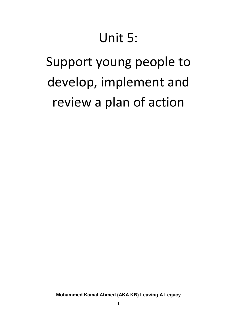# Unit 5:

# Support young people to develop, implement and review a plan of action

**Mohammed Kamal Ahmed (AKA KB) Leaving A Legacy**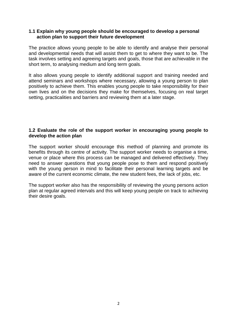## **1.1 Explain why young people should be encouraged to develop a personal action plan to support their future development**

The practice allows young people to be able to identify and analyse their personal and developmental needs that will assist them to get to where they want to be. The task involves setting and agreeing targets and goals, those that are achievable in the short term, to analysing medium and long term goals.

It also allows young people to identify additional support and training needed and attend seminars and workshops where necessary, allowing a young person to plan positively to achieve them. This enables young people to take responsibility for their own lives and on the decisions they make for themselves, focusing on real target setting, practicalities and barriers and reviewing them at a later stage.

# **1.2 Evaluate the role of the support worker in encouraging young people to develop the action plan**

The support worker should encourage this method of planning and promote its benefits through its centre of activity. The support worker needs to organise a time, venue or place where this process can be managed and delivered effectively. They need to answer questions that young people pose to them and respond positively with the young person in mind to facilitate their personal learning targets and be aware of the current economic climate, the new student fees, the lack of jobs, etc.

The support worker also has the responsibility of reviewing the young persons action plan at regular agreed intervals and this will keep young people on track to achieving their desire goals.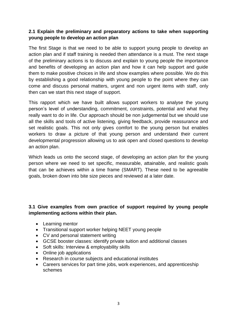# **2.1 Explain the preliminary and preparatory actions to take when supporting young people to develop an action plan**

The first Stage is that we need to be able to support young people to develop an action plan and if staff training is needed then attendance is a must. The next stage of the preliminary actions is to discuss and explain to young people the importance and benefits of developing an action plan and how it can help support and guide them to make positive choices in life and show examples where possible. We do this by establishing a good relationship with young people to the point where they can come and discuss personal matters, urgent and non urgent items with staff, only then can we start this next stage of support.

This rapport which we have built allows support workers to analyse the young person's level of understanding, commitment, constraints, potential and what they really want to do in life. Our approach should be non judgemental but we should use all the skills and tools of active listening, giving feedback, provide reassurance and set realistic goals. This not only gives comfort to the young person but enables workers to draw a picture of that young person and understand their current developmental progression allowing us to ask open and closed questions to develop an action plan.

Which leads us onto the second stage, of developing an action plan for the young person where we need to set specific, measurable, attainable, and realistic goals that can be achieves within a time frame (SMART). These need to be agreeable goals, broken down into bite size pieces and reviewed at a later date.

# **3.1 Give examples from own practice of support required by young people implementing actions within their plan.**

- Learning mentor
- Transitional support worker helping NEET young people
- CV and personal statement writing
- GCSE booster classes: identify private tuition and additional classes
- Soft skills: Interview & employability skills
- Online job applications
- Research in course subjects and educational institutes
- Careers services for part time jobs, work experiences, and apprenticeship schemes